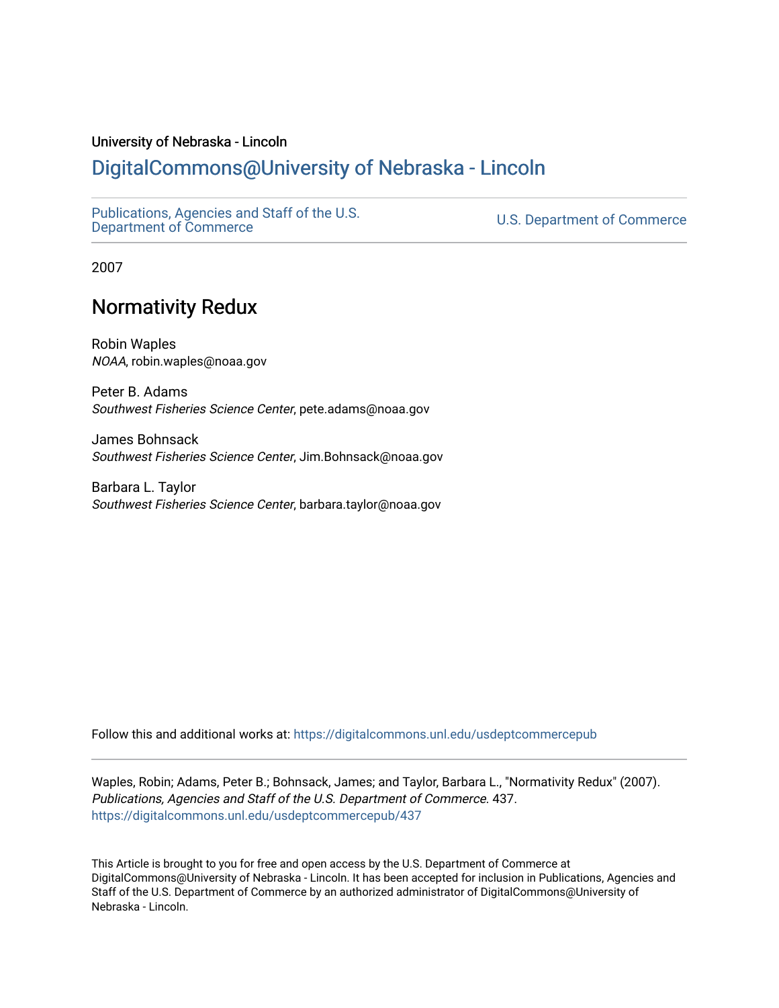#### University of Nebraska - Lincoln

### [DigitalCommons@University of Nebraska - Lincoln](https://digitalcommons.unl.edu/)

[Publications, Agencies and Staff of the U.S.](https://digitalcommons.unl.edu/usdeptcommercepub)

U.S. [Department of Commerce](https://digitalcommons.unl.edu/usdeptcommercepub)

2007

## Normativity Redux

Robin Waples NOAA, robin.waples@noaa.gov

Peter B. Adams Southwest Fisheries Science Center, pete.adams@noaa.gov

James Bohnsack Southwest Fisheries Science Center, Jim.Bohnsack@noaa.gov

Barbara L. Taylor Southwest Fisheries Science Center, barbara.taylor@noaa.gov

Follow this and additional works at: [https://digitalcommons.unl.edu/usdeptcommercepub](https://digitalcommons.unl.edu/usdeptcommercepub?utm_source=digitalcommons.unl.edu%2Fusdeptcommercepub%2F437&utm_medium=PDF&utm_campaign=PDFCoverPages)

Waples, Robin; Adams, Peter B.; Bohnsack, James; and Taylor, Barbara L., "Normativity Redux" (2007). Publications, Agencies and Staff of the U.S. Department of Commerce. 437. [https://digitalcommons.unl.edu/usdeptcommercepub/437](https://digitalcommons.unl.edu/usdeptcommercepub/437?utm_source=digitalcommons.unl.edu%2Fusdeptcommercepub%2F437&utm_medium=PDF&utm_campaign=PDFCoverPages) 

This Article is brought to you for free and open access by the U.S. Department of Commerce at DigitalCommons@University of Nebraska - Lincoln. It has been accepted for inclusion in Publications, Agencies and Staff of the U.S. Department of Commerce by an authorized administrator of DigitalCommons@University of Nebraska - Lincoln.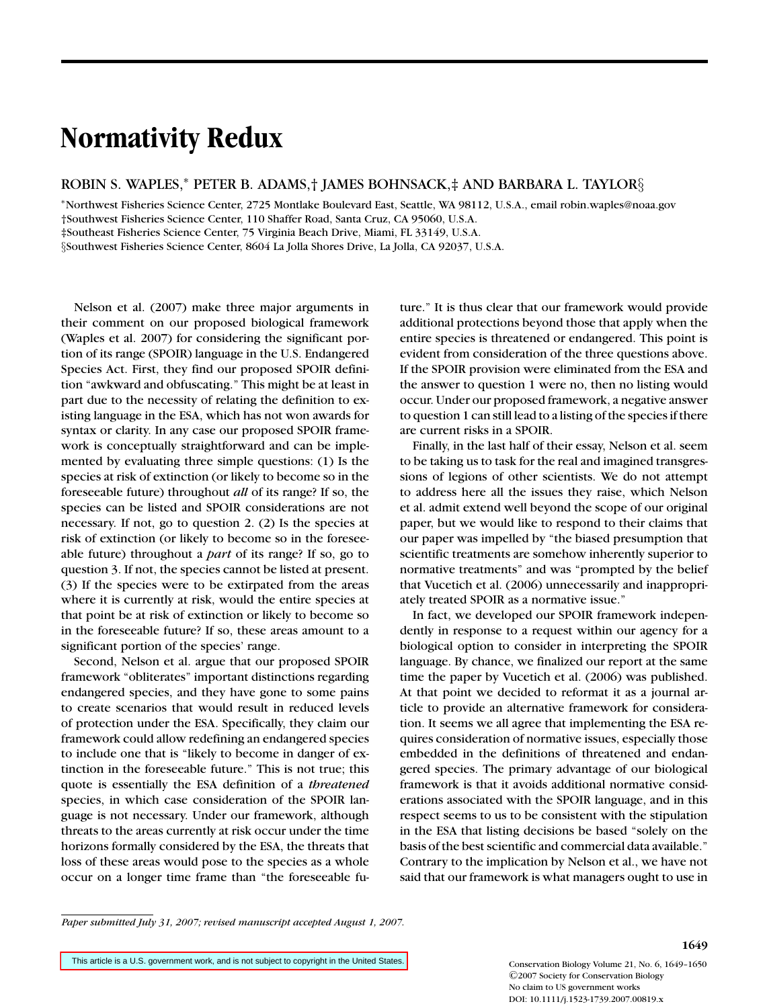# **Normativity Redux**

ROBIN S. WAPLES,<sup>∗</sup> PETER B. ADAMS,† JAMES BOHNSACK,‡ AND BARBARA L. TAYLOR§

<sup>∗</sup>Northwest Fisheries Science Center, 2725 Montlake Boulevard East, Seattle, WA 98112, U.S.A., email robin.waples@noaa.gov †Southwest Fisheries Science Center, 110 Shaffer Road, Santa Cruz, CA 95060, U.S.A.

‡Southeast Fisheries Science Center, 75 Virginia Beach Drive, Miami, FL 33149, U.S.A.

§Southwest Fisheries Science Center, 8604 La Jolla Shores Drive, La Jolla, CA 92037, U.S.A.

Nelson et al. (2007) make three major arguments in their comment on our proposed biological framework (Waples et al. 2007) for considering the significant portion of its range (SPOIR) language in the U.S. Endangered Species Act. First, they find our proposed SPOIR definition "awkward and obfuscating." This might be at least in part due to the necessity of relating the definition to existing language in the ESA, which has not won awards for syntax or clarity. In any case our proposed SPOIR framework is conceptually straightforward and can be implemented by evaluating three simple questions: (1) Is the species at risk of extinction (or likely to become so in the foreseeable future) throughout *all* of its range? If so, the species can be listed and SPOIR considerations are not necessary. If not, go to question 2. (2) Is the species at risk of extinction (or likely to become so in the foreseeable future) throughout a *part* of its range? If so, go to question 3. If not, the species cannot be listed at present. (3) If the species were to be extirpated from the areas where it is currently at risk, would the entire species at that point be at risk of extinction or likely to become so in the foreseeable future? If so, these areas amount to a significant portion of the species' range.

Second, Nelson et al. argue that our proposed SPOIR framework "obliterates" important distinctions regarding endangered species, and they have gone to some pains to create scenarios that would result in reduced levels of protection under the ESA. Specifically, they claim our framework could allow redefining an endangered species to include one that is "likely to become in danger of extinction in the foreseeable future." This is not true; this quote is essentially the ESA definition of a *threatened* species, in which case consideration of the SPOIR language is not necessary. Under our framework, although threats to the areas currently at risk occur under the time horizons formally considered by the ESA, the threats that loss of these areas would pose to the species as a whole occur on a longer time frame than "the foreseeable future." It is thus clear that our framework would provide additional protections beyond those that apply when the entire species is threatened or endangered. This point is evident from consideration of the three questions above. If the SPOIR provision were eliminated from the ESA and the answer to question 1 were no, then no listing would occur. Under our proposed framework, a negative answer to question 1 can still lead to a listing of the species if there are current risks in a SPOIR.

Finally, in the last half of their essay, Nelson et al. seem to be taking us to task for the real and imagined transgressions of legions of other scientists. We do not attempt to address here all the issues they raise, which Nelson et al. admit extend well beyond the scope of our original paper, but we would like to respond to their claims that our paper was impelled by "the biased presumption that scientific treatments are somehow inherently superior to normative treatments" and was "prompted by the belief that Vucetich et al. (2006) unnecessarily and inappropriately treated SPOIR as a normative issue."

In fact, we developed our SPOIR framework independently in response to a request within our agency for a biological option to consider in interpreting the SPOIR language. By chance, we finalized our report at the same time the paper by Vucetich et al. (2006) was published. At that point we decided to reformat it as a journal article to provide an alternative framework for consideration. It seems we all agree that implementing the ESA requires consideration of normative issues, especially those embedded in the definitions of threatened and endangered species. The primary advantage of our biological framework is that it avoids additional normative considerations associated with the SPOIR language, and in this respect seems to us to be consistent with the stipulation in the ESA that listing decisions be based "solely on the basis of the best scientific and commercial data available." Contrary to the implication by Nelson et al., we have not said that our framework is what managers ought to use in

*Paper submitted July 31, 2007; revised manuscript accepted August 1, 2007.*